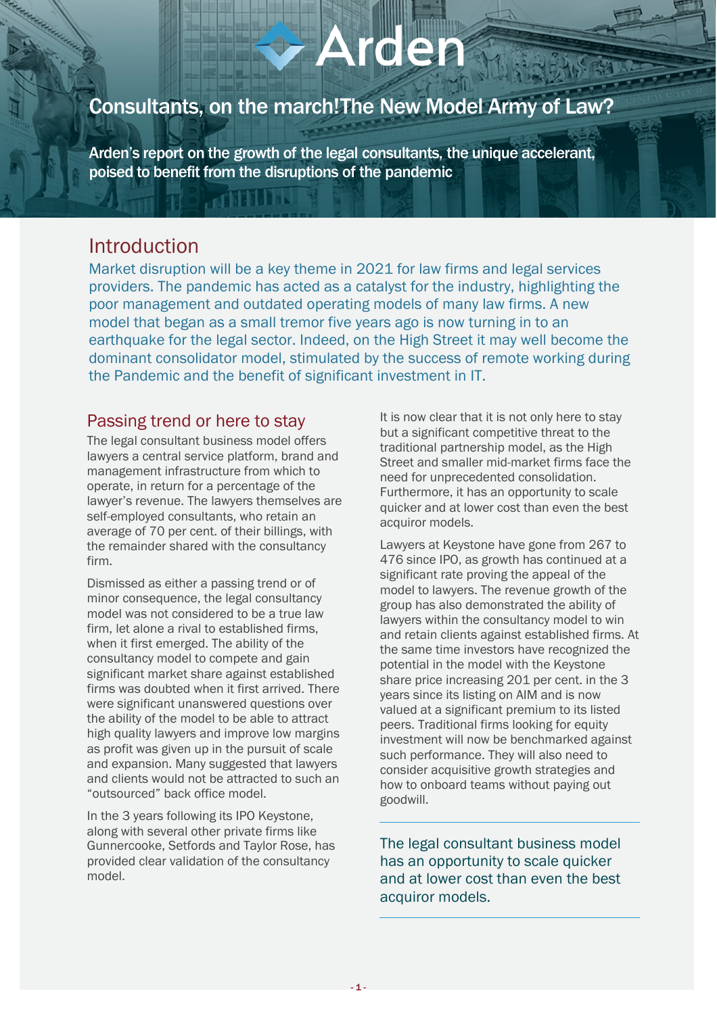# OE

# Consultants, on the march! The New Model Army of Law?

Arden's report on the growth of the legal consultants, the unique accelerant, poised to benefit from the disruptions of the pandemic

rti i Lili

# Introduction

Market disruption will be a key theme in 2021 for law firms and legal services providers. The pandemic has acted as a catalyst for the industry, highlighting the poor management and outdated operating models of many law firms. A new model that began as a small tremor five years ago is now turning in to an earthquake for the legal sector. Indeed, on the High Street it may well become the dominant consolidator model, stimulated by the success of remote working during the Pandemic and the benefit of significant investment in IT.

# Passing trend or here to stay

The legal consultant business model offers lawyers a central service platform, brand and management infrastructure from which to operate, in return for a percentage of the lawyer's revenue. The lawyers themselves are self-employed consultants, who retain an average of 70 per cent. of their billings, with the remainder shared with the consultancy firm.

Dismissed as either a passing trend or of minor consequence, the legal consultancy model was not considered to be a true law firm, let alone a rival to established firms, when it first emerged. The ability of the consultancy model to compete and gain significant market share against established firms was doubted when it first arrived. There were significant unanswered questions over the ability of the model to be able to attract high quality lawyers and improve low margins as profit was given up in the pursuit of scale and expansion. Many suggested that lawyers and clients would not be attracted to such an "outsourced" back office model.

In the 3 years following its IPO Keystone, along with several other private firms like Gunnercooke, Setfords and Taylor Rose, has provided clear validation of the consultancy model.

It is now clear that it is not only here to stay but a significant competitive threat to the traditional partnership model, as the High Street and smaller mid-market firms face the need for unprecedented consolidation. Furthermore, it has an opportunity to scale quicker and at lower cost than even the best acquiror models.

Lawyers at Keystone have gone from 267 to 476 since IPO, as growth has continued at a significant rate proving the appeal of the model to lawyers. The revenue growth of the group has also demonstrated the ability of lawyers within the consultancy model to win and retain clients against established firms. At the same time investors have recognized the potential in the model with the Keystone share price increasing 201 per cent. in the 3 years since its listing on AIM and is now valued at a significant premium to its listed peers. Traditional firms looking for equity investment will now be benchmarked against such performance. They will also need to consider acquisitive growth strategies and how to onboard teams without paying out goodwill.

The legal consultant business model has an opportunity to scale quicker and at lower cost than even the best acquiror models.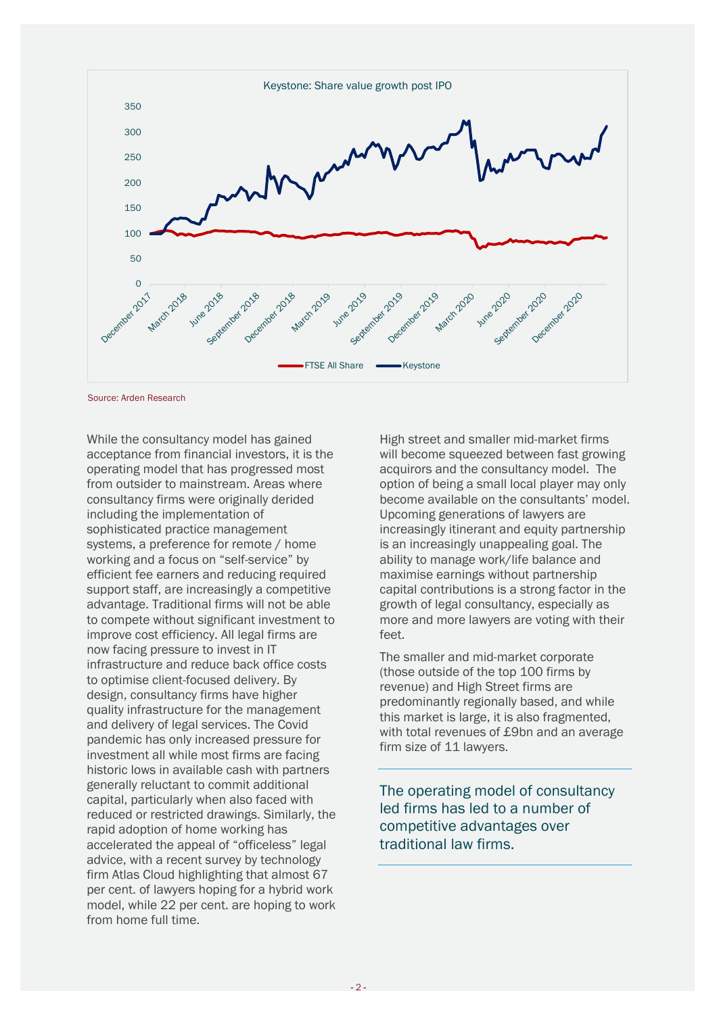

Source: Arden Research

While the consultancy model has gained acceptance from financial investors, it is the operating model that has progressed most from outsider to mainstream. Areas where consultancy firms were originally derided including the implementation of sophisticated practice management systems, a preference for remote / home working and a focus on "self-service" by efficient fee earners and reducing required support staff, are increasingly a competitive advantage. Traditional firms will not be able to compete without significant investment to improve cost efficiency. All legal firms are now facing pressure to invest in IT infrastructure and reduce back office costs to optimise client-focused delivery. By design, consultancy firms have higher quality infrastructure for the management and delivery of legal services. The Covid pandemic has only increased pressure for investment all while most firms are facing historic lows in available cash with partners generally reluctant to commit additional capital, particularly when also faced with reduced or restricted drawings. Similarly, the rapid adoption of home working has accelerated the appeal of "officeless" legal advice, with a recent survey by technology firm Atlas Cloud highlighting that almost 67 per cent. of lawyers hoping for a hybrid work model, while 22 per cent. are hoping to work from home full time.

High street and smaller mid-market firms will become squeezed between fast growing acquirors and the consultancy model. The option of being a small local player may only become available on the consultants' model. Upcoming generations of lawyers are increasingly itinerant and equity partnership is an increasingly unappealing goal. The ability to manage work/life balance and maximise earnings without partnership capital contributions is a strong factor in the growth of legal consultancy, especially as more and more lawyers are voting with their feet.

The smaller and mid-market corporate (those outside of the top 100 firms by revenue) and High Street firms are predominantly regionally based, and while this market is large, it is also fragmented, with total revenues of £9bn and an average firm size of 11 lawyers.

The operating model of consultancy led firms has led to a number of competitive advantages over traditional law firms.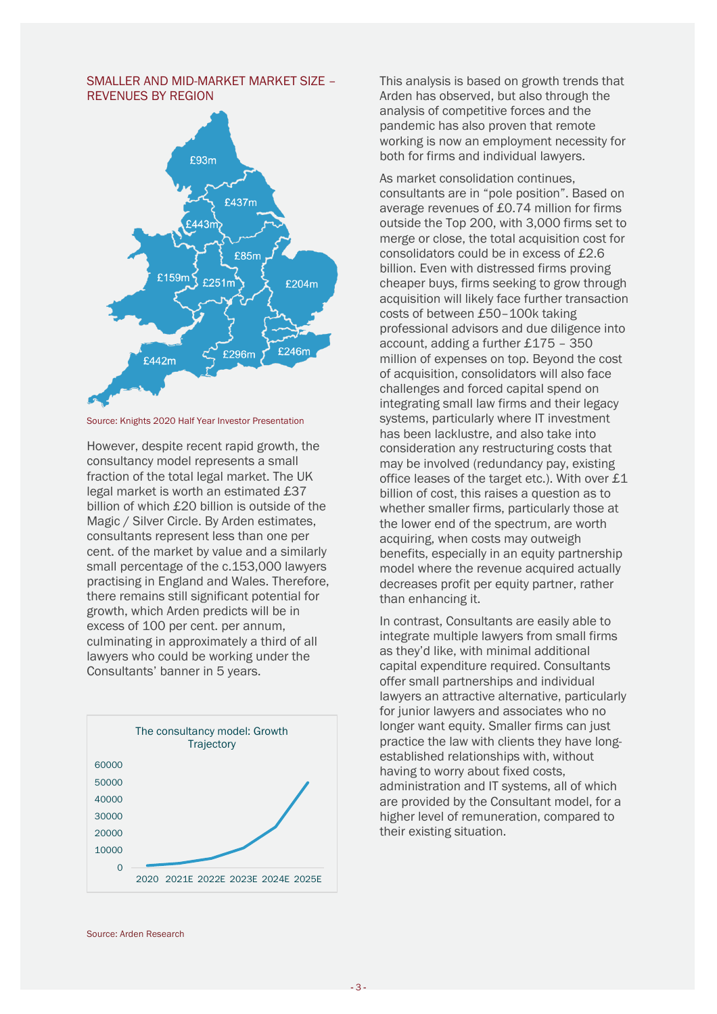## SMALLER AND MID-MARKET MARKET SIZE – REVENUES BY REGION



Source: Knights 2020 Half Year Investor Presentation

However, despite recent rapid growth, the consultancy model represents a small fraction of the total legal market. The UK legal market is worth an estimated £37 billion of which £20 billion is outside of the Magic / Silver Circle. By Arden estimates, consultants represent less than one per cent. of the market by value and a similarly small percentage of the c.153,000 lawyers practising in England and Wales. Therefore, there remains still significant potential for growth, which Arden predicts will be in excess of 100 per cent. per annum, culminating in approximately a third of all lawyers who could be working under the Consultants' banner in 5 years.



This analysis is based on growth trends that Arden has observed, but also through the analysis of competitive forces and the pandemic has also proven that remote working is now an employment necessity for both for firms and individual lawyers.

As market consolidation continues, consultants are in "pole position". Based on average revenues of £0.74 million for firms outside the Top 200, with 3,000 firms set to merge or close, the total acquisition cost for consolidators could be in excess of £2.6 billion. Even with distressed firms proving cheaper buys, firms seeking to grow through acquisition will likely face further transaction costs of between £50–100k taking professional advisors and due diligence into account, adding a further £175 – 350 million of expenses on top. Beyond the cost of acquisition, consolidators will also face challenges and forced capital spend on integrating small law firms and their legacy systems, particularly where IT investment has been lacklustre, and also take into consideration any restructuring costs that may be involved (redundancy pay, existing office leases of the target etc.). With over £1 billion of cost, this raises a question as to whether smaller firms, particularly those at the lower end of the spectrum, are worth acquiring, when costs may outweigh benefits, especially in an equity partnership model where the revenue acquired actually decreases profit per equity partner, rather than enhancing it.

In contrast, Consultants are easily able to integrate multiple lawyers from small firms as they'd like, with minimal additional capital expenditure required. Consultants offer small partnerships and individual lawyers an attractive alternative, particularly for junior lawyers and associates who no longer want equity. Smaller firms can just practice the law with clients they have longestablished relationships with, without having to worry about fixed costs, administration and IT systems, all of which are provided by the Consultant model, for a higher level of remuneration, compared to their existing situation.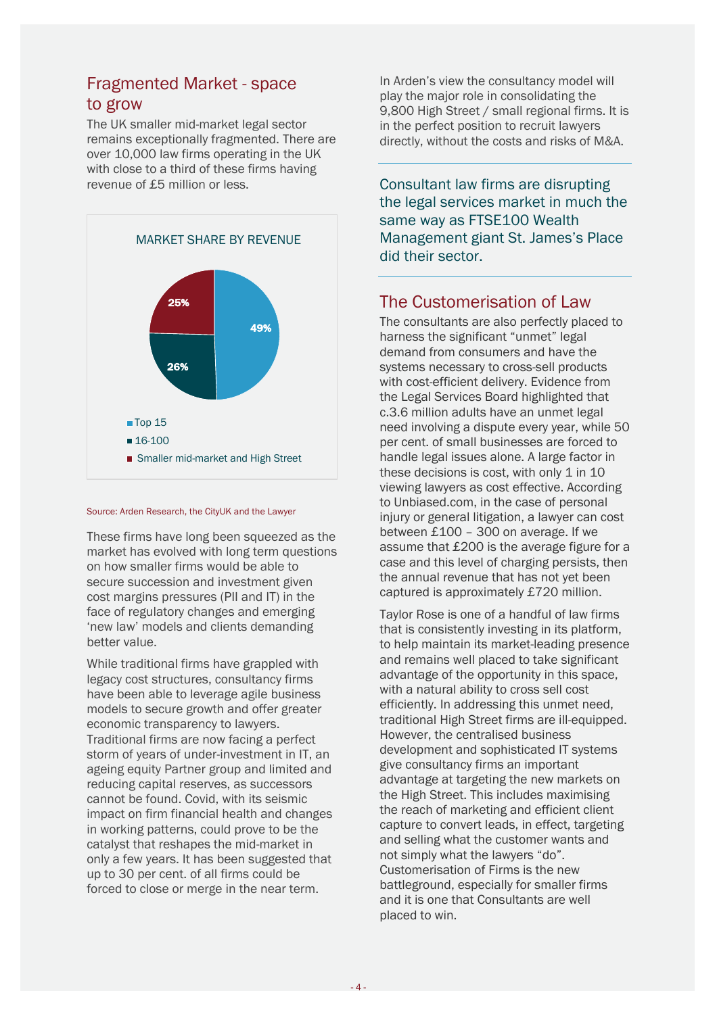# Fragmented Market - space to grow

The UK smaller mid-market legal sector remains exceptionally fragmented. There are over 10,000 law firms operating in the UK with close to a third of these firms having revenue of £5 million or less.



#### Source: Arden Research, the CityUK and the Lawyer

These firms have long been squeezed as the market has evolved with long term questions on how smaller firms would be able to secure succession and investment given cost margins pressures (PII and IT) in the face of regulatory changes and emerging 'new law' models and clients demanding better value.

While traditional firms have grappled with legacy cost structures, consultancy firms have been able to leverage agile business models to secure growth and offer greater economic transparency to lawyers. Traditional firms are now facing a perfect storm of years of under-investment in IT, an ageing equity Partner group and limited and reducing capital reserves, as successors cannot be found. Covid, with its seismic impact on firm financial health and changes in working patterns, could prove to be the catalyst that reshapes the mid-market in only a few years. It has been suggested that up to 30 per cent. of all firms could be forced to close or merge in the near term.

In Arden's view the consultancy model will play the major role in consolidating the 9,800 High Street / small regional firms. It is in the perfect position to recruit lawyers directly, without the costs and risks of M&A.

Consultant law firms are disrupting the legal services market in much the same way as FTSE100 Wealth Management giant St. James's Place did their sector.

## The Customerisation of Law

The consultants are also perfectly placed to harness the significant "unmet" legal demand from consumers and have the systems necessary to cross-sell products with cost-efficient delivery. Evidence from the Legal Services Board highlighted that c.3.6 million adults have an unmet legal need involving a dispute every year, while 50 per cent. of small businesses are forced to handle legal issues alone. A large factor in these decisions is cost, with only 1 in 10 viewing lawyers as cost effective. According to Unbiased.com, in the case of personal injury or general litigation, a lawyer can cost between £100 – 300 on average. If we assume that £200 is the average figure for a case and this level of charging persists, then the annual revenue that has not yet been captured is approximately £720 million.

Taylor Rose is one of a handful of law firms that is consistently investing in its platform, to help maintain its market-leading presence and remains well placed to take significant advantage of the opportunity in this space, with a natural ability to cross sell cost efficiently. In addressing this unmet need, traditional High Street firms are ill-equipped. However, the centralised business development and sophisticated IT systems give consultancy firms an important advantage at targeting the new markets on the High Street. This includes maximising the reach of marketing and efficient client capture to convert leads, in effect, targeting and selling what the customer wants and not simply what the lawyers "do". Customerisation of Firms is the new battleground, especially for smaller firms and it is one that Consultants are well placed to win.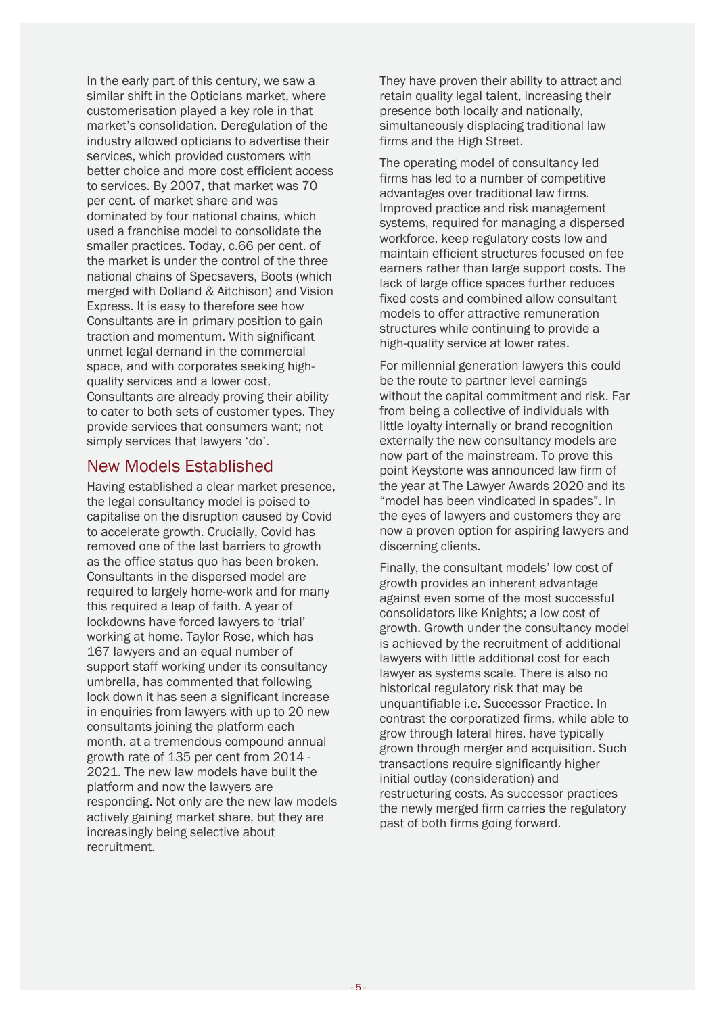In the early part of this century, we saw a similar shift in the Opticians market, where customerisation played a key role in that market's consolidation. Deregulation of the industry allowed opticians to advertise their services, which provided customers with better choice and more cost efficient access to services. By 2007, that market was 70 per cent. of market share and was dominated by four national chains, which used a franchise model to consolidate the smaller practices. Today, c.66 per cent. of the market is under the control of the three national chains of Specsavers, Boots (which merged with Dolland & Aitchison) and Vision Express. It is easy to therefore see how Consultants are in primary position to gain traction and momentum. With significant unmet legal demand in the commercial space, and with corporates seeking highquality services and a lower cost, Consultants are already proving their ability to cater to both sets of customer types. They provide services that consumers want; not simply services that lawyers 'do'.

## New Models Established

Having established a clear market presence, the legal consultancy model is poised to capitalise on the disruption caused by Covid to accelerate growth. Crucially, Covid has removed one of the last barriers to growth as the office status quo has been broken. Consultants in the dispersed model are required to largely home-work and for many this required a leap of faith. A year of lockdowns have forced lawyers to 'trial' working at home. Taylor Rose, which has 167 lawyers and an equal number of support staff working under its consultancy umbrella, has commented that following lock down it has seen a significant increase in enquiries from lawyers with up to 20 new consultants joining the platform each month, at a tremendous compound annual growth rate of 135 per cent from 2014 - 2021. The new law models have built the platform and now the lawyers are responding. Not only are the new law models actively gaining market share, but they are increasingly being selective about recruitment.

They have proven their ability to attract and retain quality legal talent, increasing their presence both locally and nationally, simultaneously displacing traditional law firms and the High Street.

The operating model of consultancy led firms has led to a number of competitive advantages over traditional law firms. Improved practice and risk management systems, required for managing a dispersed workforce, keep regulatory costs low and maintain efficient structures focused on fee earners rather than large support costs. The lack of large office spaces further reduces fixed costs and combined allow consultant models to offer attractive remuneration structures while continuing to provide a high-quality service at lower rates.

For millennial generation lawyers this could be the route to partner level earnings without the capital commitment and risk. Far from being a collective of individuals with little loyalty internally or brand recognition externally the new consultancy models are now part of the mainstream. To prove this point Keystone was announced law firm of the year at The Lawyer Awards 2020 and its "model has been vindicated in spades". In the eyes of lawyers and customers they are now a proven option for aspiring lawyers and discerning clients.

Finally, the consultant models' low cost of growth provides an inherent advantage against even some of the most successful consolidators like Knights; a low cost of growth. Growth under the consultancy model is achieved by the recruitment of additional lawyers with little additional cost for each lawyer as systems scale. There is also no historical regulatory risk that may be unquantifiable i.e. Successor Practice. In contrast the corporatized firms, while able to grow through lateral hires, have typically grown through merger and acquisition. Such transactions require significantly higher initial outlay (consideration) and restructuring costs. As successor practices the newly merged firm carries the regulatory past of both firms going forward.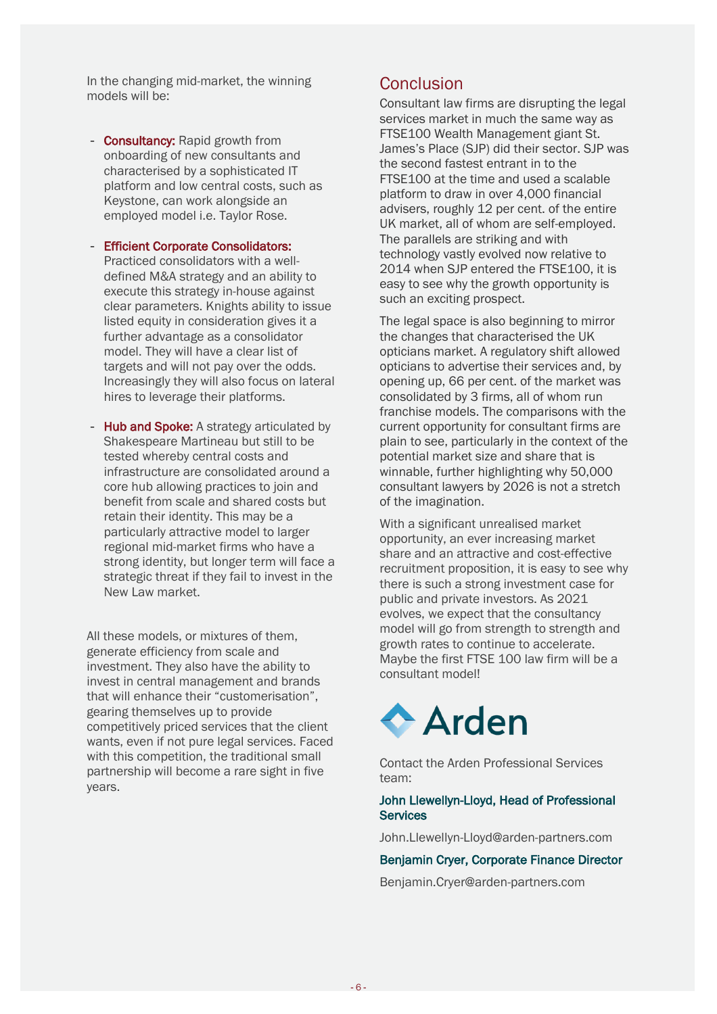In the changing mid-market, the winning models will be:

- **Consultancy:** Rapid growth from onboarding of new consultants and characterised by a sophisticated IT platform and low central costs, such as Keystone, can work alongside an employed model i.e. Taylor Rose.
- Efficient Corporate Consolidators: Practiced consolidators with a welldefined M&A strategy and an ability to execute this strategy in-house against clear parameters. Knights ability to issue listed equity in consideration gives it a further advantage as a consolidator model. They will have a clear list of targets and will not pay over the odds. Increasingly they will also focus on lateral hires to leverage their platforms.
- Hub and Spoke: A strategy articulated by Shakespeare Martineau but still to be tested whereby central costs and infrastructure are consolidated around a core hub allowing practices to join and benefit from scale and shared costs but retain their identity. This may be a particularly attractive model to larger regional mid-market firms who have a strong identity, but longer term will face a strategic threat if they fail to invest in the New Law market.

All these models, or mixtures of them, generate efficiency from scale and investment. They also have the ability to invest in central management and brands that will enhance their "customerisation", gearing themselves up to provide competitively priced services that the client wants, even if not pure legal services. Faced with this competition, the traditional small partnership will become a rare sight in five years.

# **Conclusion**

Consultant law firms are disrupting the legal services market in much the same way as FTSE100 Wealth Management giant St. James's Place (SJP) did their sector. SJP was the second fastest entrant in to the FTSE100 at the time and used a scalable platform to draw in over 4,000 financial advisers, roughly 12 per cent. of the entire UK market, all of whom are self-employed. The parallels are striking and with technology vastly evolved now relative to 2014 when SJP entered the FTSE100, it is easy to see why the growth opportunity is such an exciting prospect.

The legal space is also beginning to mirror the changes that characterised the UK opticians market. A regulatory shift allowed opticians to advertise their services and, by opening up, 66 per cent. of the market was consolidated by 3 firms, all of whom run franchise models. The comparisons with the current opportunity for consultant firms are plain to see, particularly in the context of the potential market size and share that is winnable, further highlighting why 50,000 consultant lawyers by 2026 is not a stretch of the imagination.

With a significant unrealised market opportunity, an ever increasing market share and an attractive and cost-effective recruitment proposition, it is easy to see why there is such a strong investment case for public and private investors. As 2021 evolves, we expect that the consultancy model will go from strength to strength and growth rates to continue to accelerate. Maybe the first FTSE 100 law firm will be a consultant model!



Contact the Arden Professional Services team:

### John Llewellyn-Lloyd, Head of Professional **Services**

John.Llewellyn-Lloyd@arden-partners.com

## Benjamin Cryer, Corporate Finance Director

Benjamin.Cryer@arden-partners.com